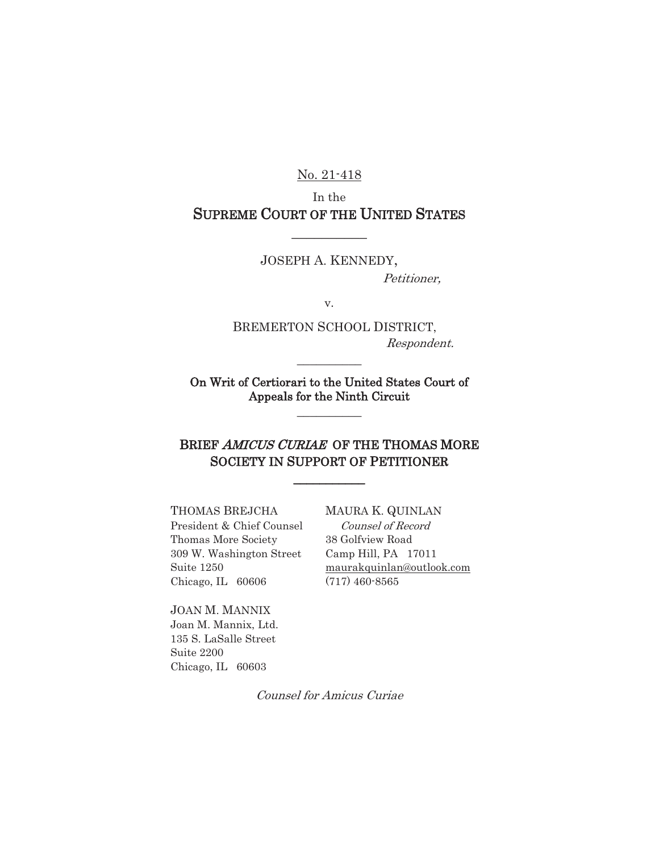No. 21-418

In the SUPREME COURT OF THE UNITED STATES

 $\overline{\phantom{a}}$ 

JOSEPH A. KENNEDY, Petitioner,

v.

 BREMERTON SCHOOL DISTRICT, Respondent.

On Writ of Certiorari to the United States Court of Appeals for the Ninth Circuit  $\frac{1}{2}$ 

 $\frac{1}{2}$ 

## BRIEF AMICUS CURIAE OF THE THOMAS MORE SOCIETY IN SUPPORT OF PETITIONER

 $\overline{\phantom{a}}$ 

President & Chief Counsel Counsel of Record Thomas More Society 38 Golfview Road

Chicago, IL 60606 (717) 460-8565

JOAN M. MANNIX Joan M. Mannix, Ltd. 135 S. LaSalle Street Suite 2200 Chicago, IL 60603

#### THOMAS BREJCHA MAURA K. QUINLAN

309 W. Washington Street Camp Hill, PA 17011 Suite 1250 maurakquinlan@outlook.com

Counsel for Amicus Curiae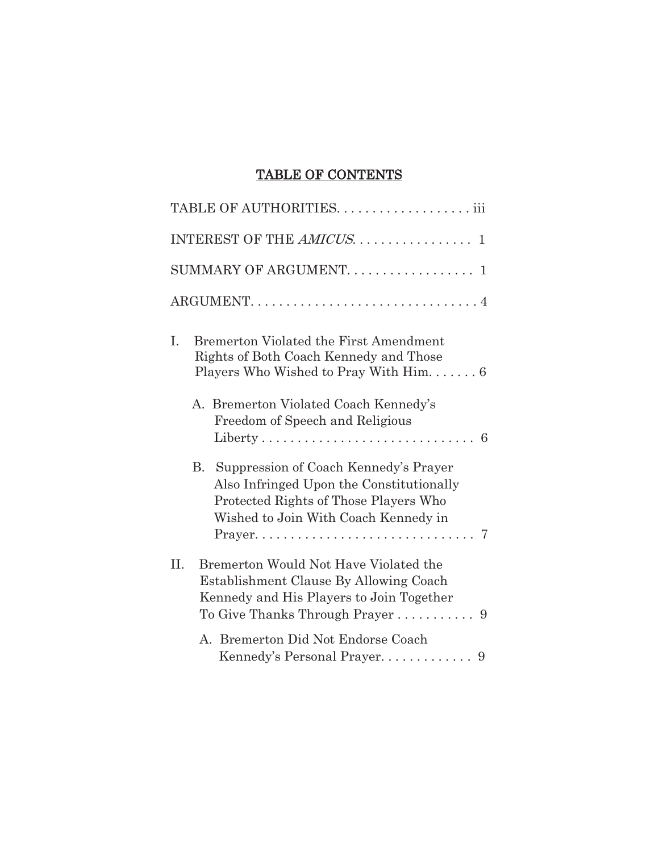# TABLE OF CONTENTS

| INTEREST OF THE AMICUS. 1                                                                                                                                                                       |
|-------------------------------------------------------------------------------------------------------------------------------------------------------------------------------------------------|
| SUMMARY OF ARGUMENT. 1                                                                                                                                                                          |
|                                                                                                                                                                                                 |
| <b>Bremerton Violated the First Amendment</b><br>Ι.<br>Rights of Both Coach Kennedy and Those<br>Players Who Wished to Pray With $\text{Him.} \dots 6$<br>A. Bremerton Violated Coach Kennedy's |
| Freedom of Speech and Religious<br>Liberty<br>6                                                                                                                                                 |
| B.<br>Suppression of Coach Kennedy's Prayer<br>Also Infringed Upon the Constitutionally<br>Protected Rights of Those Players Who<br>Wished to Join With Coach Kennedy in                        |
| II.<br>Bremerton Would Not Have Violated the<br>Establishment Clause By Allowing Coach<br>Kennedy and His Players to Join Together                                                              |
| A. Bremerton Did Not Endorse Coach                                                                                                                                                              |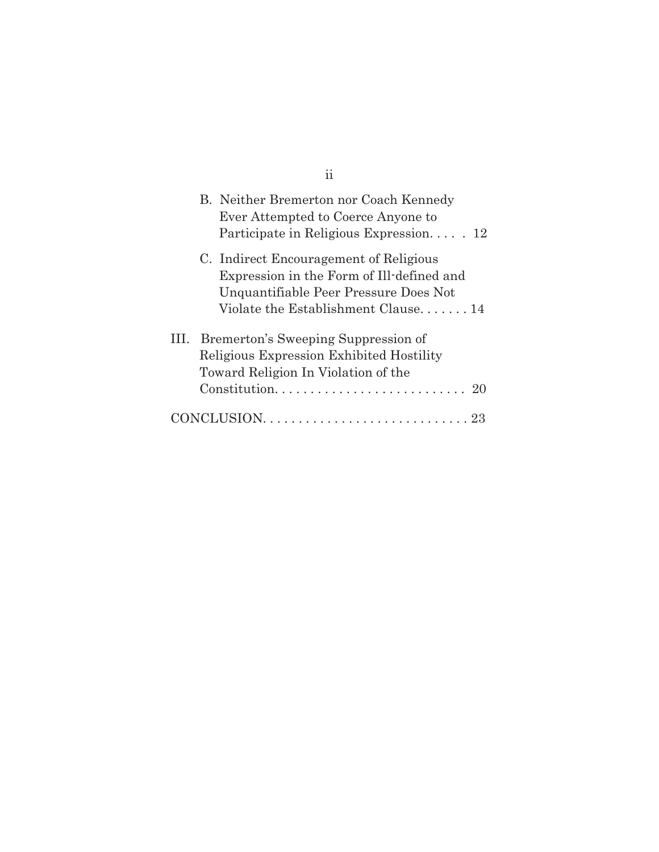|      | B. Neither Bremerton nor Coach Kennedy<br>Ever Attempted to Coerce Anyone to<br>Participate in Religious Expression 12                                              |
|------|---------------------------------------------------------------------------------------------------------------------------------------------------------------------|
|      | C. Indirect Encouragement of Religious<br>Expression in the Form of Ill-defined and<br>Unquantifiable Peer Pressure Does Not<br>Violate the Establishment Clause 14 |
| III. | Bremerton's Sweeping Suppression of<br>Religious Expression Exhibited Hostility<br>Toward Religion In Violation of the<br>Constitution<br>2()                       |
|      |                                                                                                                                                                     |

ii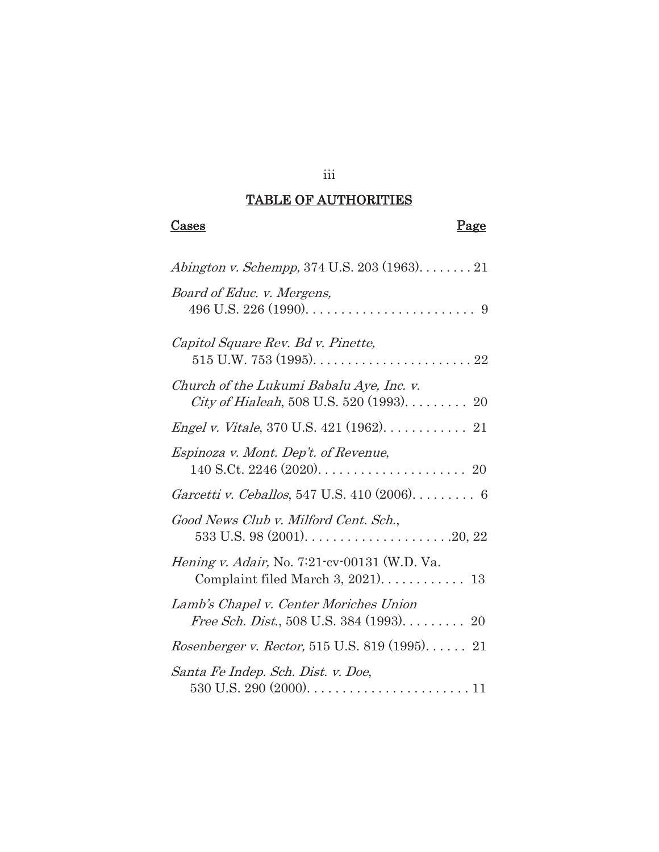# TABLE OF AUTHORITIES

iii

| 90<br>'do<br>∍<br>ν. |  |
|----------------------|--|
|----------------------|--|

# Page

| Abington v. Schempp, 374 U.S. 203 (1963). $\dots \dots 21$                                                     |
|----------------------------------------------------------------------------------------------------------------|
| Board of Educ. v. Mergens,<br>496 U.S. 226 (1990). $\ldots \ldots \ldots \ldots \ldots \ldots \ldots \ldots$ 9 |
| Capitol Square Rev. Bd v. Pinette,                                                                             |
| Church of the Lukumi Babalu Aye, Inc. v.<br><i>City of Hialeah</i> , 508 U.S. 520 (1993). $\dots \dots$ 20     |
| <i>Engel v. Vitale, 370 U.S. 421 (1962).</i> $\dots \dots \dots 21$                                            |
| Espinoza v. Mont. Dep't. of Revenue,                                                                           |
| Garcetti v. Ceballos, 547 U.S. 410 (2006). 6                                                                   |
| Good News Club v. Milford Cent. Sch.,<br>533 U.S. 98 $(2001)$ 20, 22                                           |
| <i>Hening v. Adair, No. 7:21-cv-00131 (W.D. Va.</i>                                                            |
| Lamb's Chapel v. Center Moriches Union<br>Free Sch. Dist., 508 U.S. 384 (1993). 20                             |
| <i>Rosenberger v. Rector,</i> 515 U.S. 819 (1995) 21                                                           |
| Santa Fe Indep. Sch. Dist. v. Doe,                                                                             |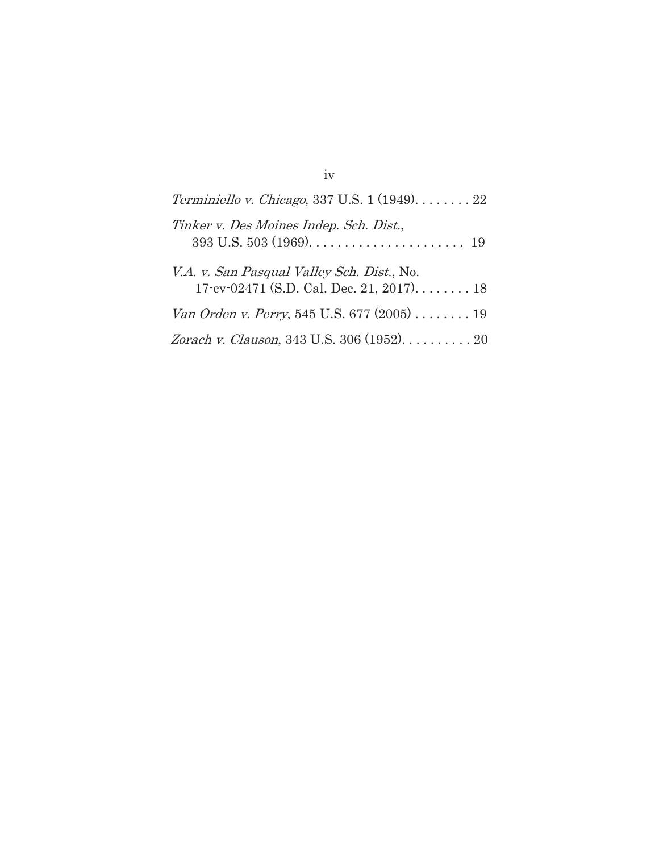| Terminiello v. Chicago, 337 U.S. $1(1949)$ 22 |
|-----------------------------------------------|
| Tinker v. Des Moines Indep. Sch. Dist.,       |
| V.A. v. San Pasqual Valley Sch. Dist., No.    |
| Van Orden v. Perry, 545 U.S. 677 (2005) 19    |
| Zorach v. Clauson, 343 U.S. 306 (1952). 20    |

iv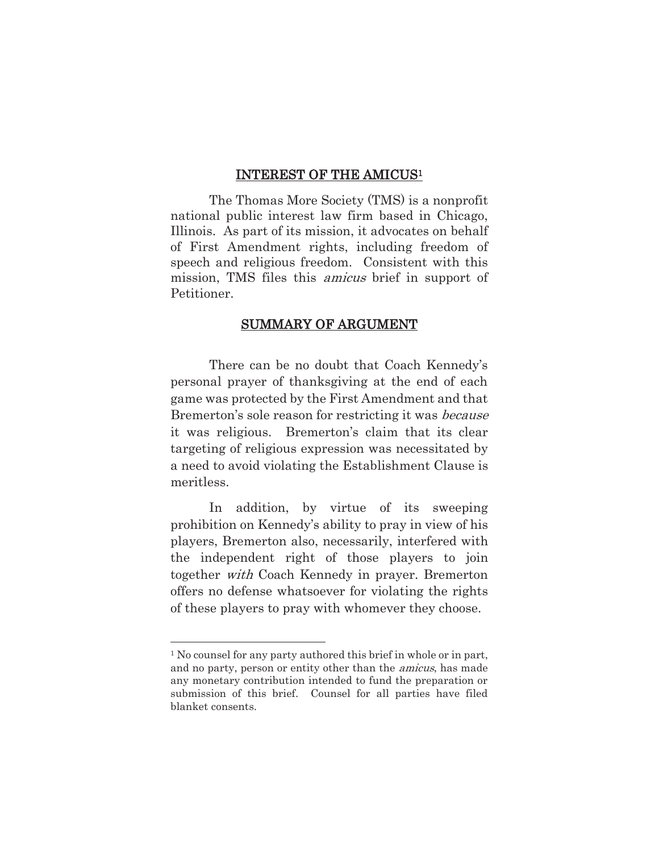#### INTEREST OF THE AMICUS1

 The Thomas More Society (TMS) is a nonprofit national public interest law firm based in Chicago, Illinois. As part of its mission, it advocates on behalf of First Amendment rights, including freedom of speech and religious freedom. Consistent with this mission, TMS files this *amicus* brief in support of Petitioner.

### SUMMARY OF ARGUMENT

 There can be no doubt that Coach Kennedy's personal prayer of thanksgiving at the end of each game was protected by the First Amendment and that Bremerton's sole reason for restricting it was because it was religious. Bremerton's claim that its clear targeting of religious expression was necessitated by a need to avoid violating the Establishment Clause is meritless.

In addition, by virtue of its sweeping prohibition on Kennedy's ability to pray in view of his players, Bremerton also, necessarily, interfered with the independent right of those players to join together with Coach Kennedy in prayer. Bremerton offers no defense whatsoever for violating the rights of these players to pray with whomever they choose.

l

<sup>&</sup>lt;sup>1</sup> No counsel for any party authored this brief in whole or in part, and no party, person or entity other than the amicus, has made any monetary contribution intended to fund the preparation or submission of this brief. Counsel for all parties have filed blanket consents.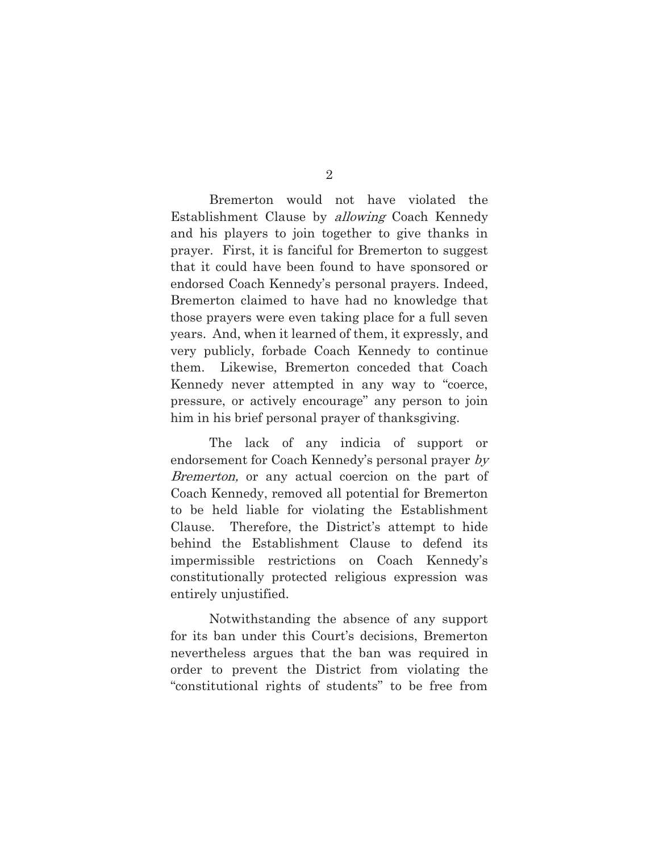Bremerton would not have violated the Establishment Clause by *allowing* Coach Kennedy and his players to join together to give thanks in prayer. First, it is fanciful for Bremerton to suggest that it could have been found to have sponsored or endorsed Coach Kennedy's personal prayers. Indeed, Bremerton claimed to have had no knowledge that those prayers were even taking place for a full seven years. And, when it learned of them, it expressly, and very publicly, forbade Coach Kennedy to continue them. Likewise, Bremerton conceded that Coach Kennedy never attempted in any way to "coerce, pressure, or actively encourage" any person to join him in his brief personal prayer of thanksgiving.

The lack of any indicia of support or endorsement for Coach Kennedy's personal prayer by Bremerton, or any actual coercion on the part of Coach Kennedy, removed all potential for Bremerton to be held liable for violating the Establishment Clause. Therefore, the District's attempt to hide behind the Establishment Clause to defend its impermissible restrictions on Coach Kennedy's constitutionally protected religious expression was entirely unjustified.

Notwithstanding the absence of any support for its ban under this Court's decisions, Bremerton nevertheless argues that the ban was required in order to prevent the District from violating the "constitutional rights of students" to be free from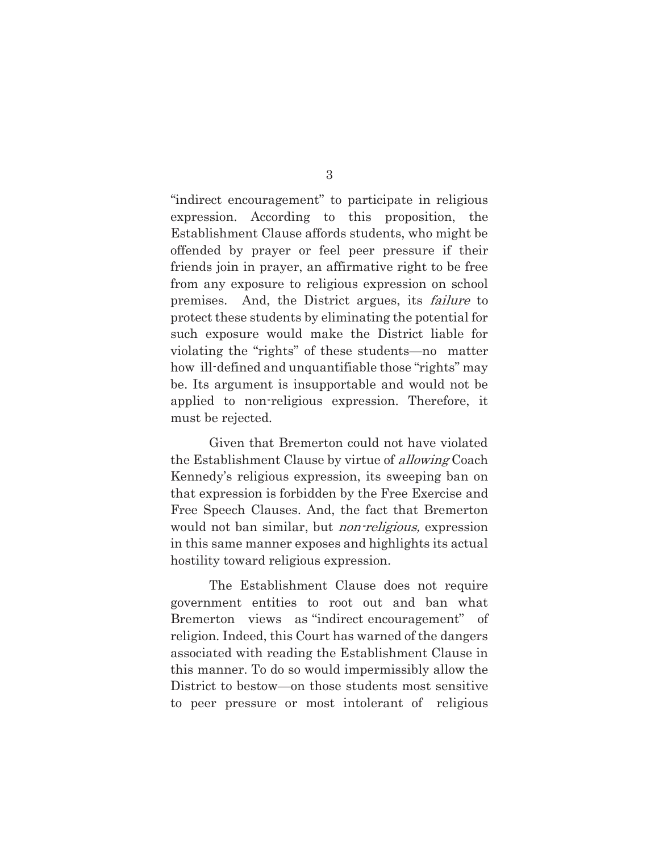"indirect encouragement" to participate in religious expression. According to this proposition, the Establishment Clause affords students, who might be offended by prayer or feel peer pressure if their friends join in prayer, an affirmative right to be free from any exposure to religious expression on school premises. And, the District argues, its failure to protect these students by eliminating the potential for such exposure would make the District liable for violating the "rights" of these students—no matter how ill-defined and unquantifiable those "rights" may be. Its argument is insupportable and would not be applied to non-religious expression. Therefore, it must be rejected.

Given that Bremerton could not have violated the Establishment Clause by virtue of allowing Coach Kennedy's religious expression, its sweeping ban on that expression is forbidden by the Free Exercise and Free Speech Clauses. And, the fact that Bremerton would not ban similar, but *non-religious*, expression in this same manner exposes and highlights its actual hostility toward religious expression.

The Establishment Clause does not require government entities to root out and ban what Bremerton views as "indirect encouragement" of religion. Indeed, this Court has warned of the dangers associated with reading the Establishment Clause in this manner. To do so would impermissibly allow the District to bestow—on those students most sensitive to peer pressure or most intolerant of religious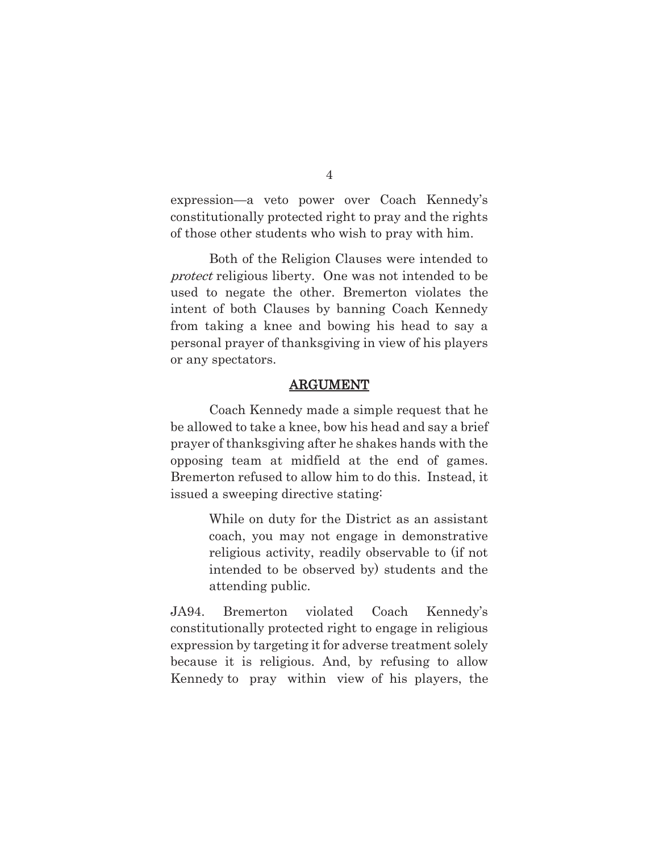expression—a veto power over Coach Kennedy's constitutionally protected right to pray and the rights of those other students who wish to pray with him.

Both of the Religion Clauses were intended to protect religious liberty. One was not intended to be used to negate the other. Bremerton violates the intent of both Clauses by banning Coach Kennedy from taking a knee and bowing his head to say a personal prayer of thanksgiving in view of his players or any spectators.

### ARGUMENT

 Coach Kennedy made a simple request that he be allowed to take a knee, bow his head and say a brief prayer of thanksgiving after he shakes hands with the opposing team at midfield at the end of games. Bremerton refused to allow him to do this. Instead, it issued a sweeping directive stating:

> While on duty for the District as an assistant coach, you may not engage in demonstrative religious activity, readily observable to (if not intended to be observed by) students and the attending public.

JA94. Bremerton violated Coach Kennedy's constitutionally protected right to engage in religious expression by targeting it for adverse treatment solely because it is religious. And, by refusing to allow Kennedy to pray within view of his players, the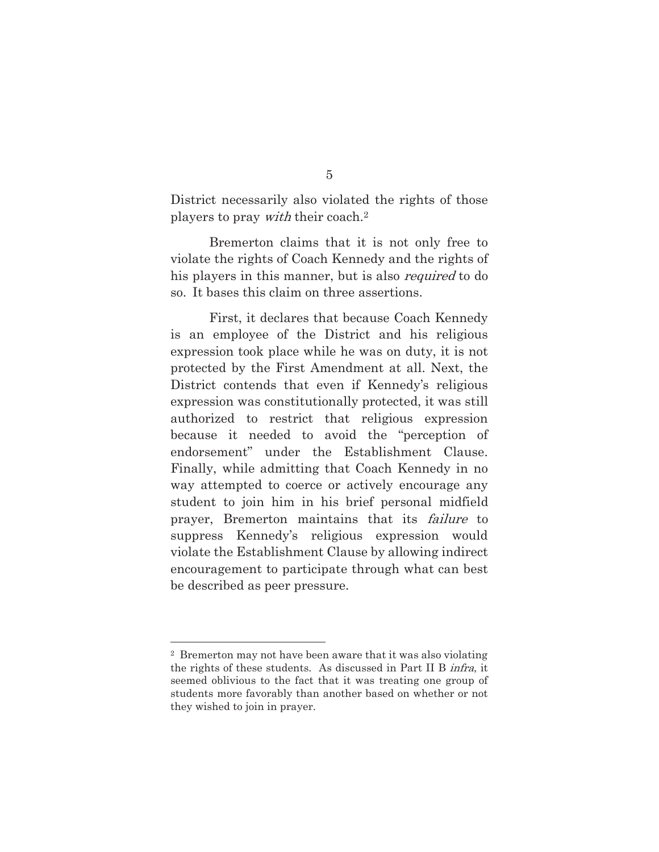District necessarily also violated the rights of those players to pray with their coach.2

Bremerton claims that it is not only free to violate the rights of Coach Kennedy and the rights of his players in this manner, but is also *required* to do so. It bases this claim on three assertions.

 First, it declares that because Coach Kennedy is an employee of the District and his religious expression took place while he was on duty, it is not protected by the First Amendment at all. Next, the District contends that even if Kennedy's religious expression was constitutionally protected, it was still authorized to restrict that religious expression because it needed to avoid the "perception of endorsement" under the Establishment Clause. Finally, while admitting that Coach Kennedy in no way attempted to coerce or actively encourage any student to join him in his brief personal midfield prayer, Bremerton maintains that its failure to suppress Kennedy's religious expression would violate the Establishment Clause by allowing indirect encouragement to participate through what can best be described as peer pressure.

l

5

<sup>2</sup> Bremerton may not have been aware that it was also violating the rights of these students. As discussed in Part II B infra, it seemed oblivious to the fact that it was treating one group of students more favorably than another based on whether or not they wished to join in prayer.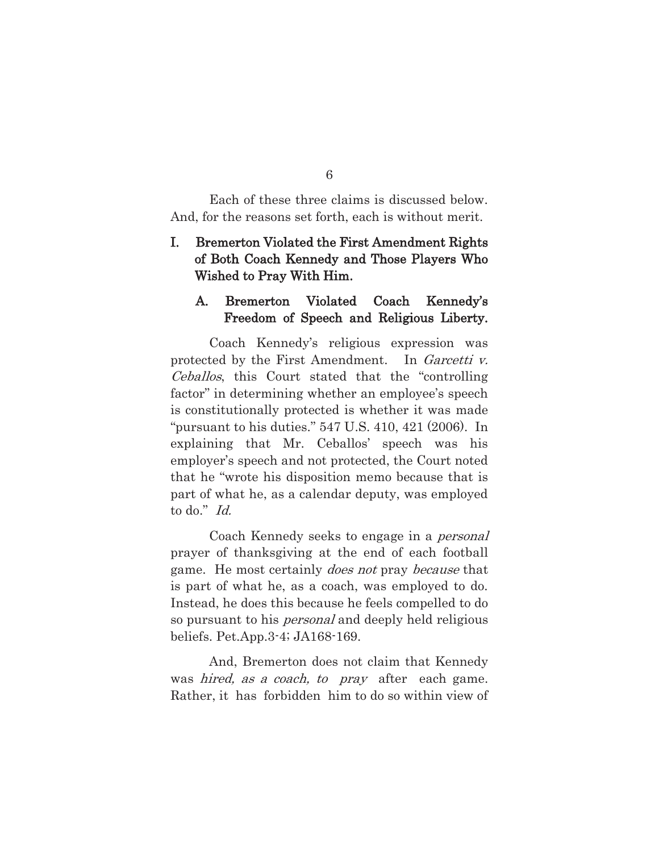Each of these three claims is discussed below. And, for the reasons set forth, each is without merit.

## I. Bremerton Violated the First Amendment Rights of Both Coach Kennedy and Those Players Who Wished to Pray With Him.

### A. Bremerton Violated Coach Kennedy's Freedom of Speech and Religious Liberty.

 Coach Kennedy's religious expression was protected by the First Amendment. In *Garcetti v.* Ceballos, this Court stated that the "controlling factor" in determining whether an employee's speech is constitutionally protected is whether it was made "pursuant to his duties." 547 U.S. 410, 421 (2006). In explaining that Mr. Ceballos' speech was his employer's speech and not protected, the Court noted that he "wrote his disposition memo because that is part of what he, as a calendar deputy, was employed to do." Id.

Coach Kennedy seeks to engage in a *personal* prayer of thanksgiving at the end of each football game. He most certainly does not pray because that is part of what he, as a coach, was employed to do. Instead, he does this because he feels compelled to do so pursuant to his *personal* and deeply held religious beliefs. Pet.App.3-4; JA168-169.

 And, Bremerton does not claim that Kennedy was *hired, as a coach, to pray* after each game. Rather, it has forbidden him to do so within view of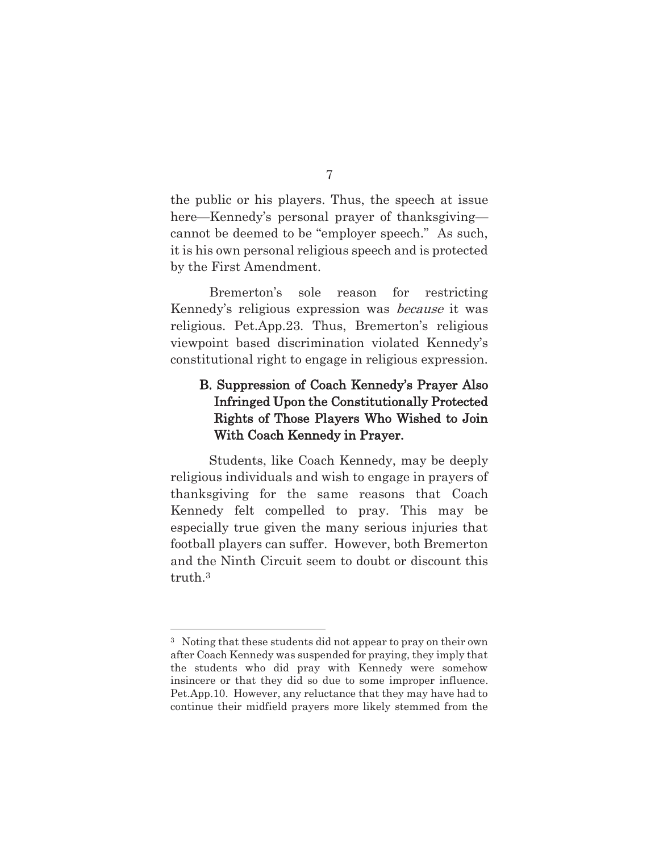the public or his players. Thus, the speech at issue here—Kennedy's personal prayer of thanksgiving cannot be deemed to be "employer speech." As such, it is his own personal religious speech and is protected by the First Amendment.

 Bremerton's sole reason for restricting Kennedy's religious expression was because it was religious. Pet.App.23. Thus, Bremerton's religious viewpoint based discrimination violated Kennedy's constitutional right to engage in religious expression.

# B. Suppression of Coach Kennedy's Prayer Also Infringed Upon the Constitutionally Protected Rights of Those Players Who Wished to Join With Coach Kennedy in Prayer.

Students, like Coach Kennedy, may be deeply religious individuals and wish to engage in prayers of thanksgiving for the same reasons that Coach Kennedy felt compelled to pray. This may be especially true given the many serious injuries that football players can suffer. However, both Bremerton and the Ninth Circuit seem to doubt or discount this truth.3

l

<sup>3</sup> Noting that these students did not appear to pray on their own after Coach Kennedy was suspended for praying, they imply that the students who did pray with Kennedy were somehow insincere or that they did so due to some improper influence. Pet.App.10. However, any reluctance that they may have had to continue their midfield prayers more likely stemmed from the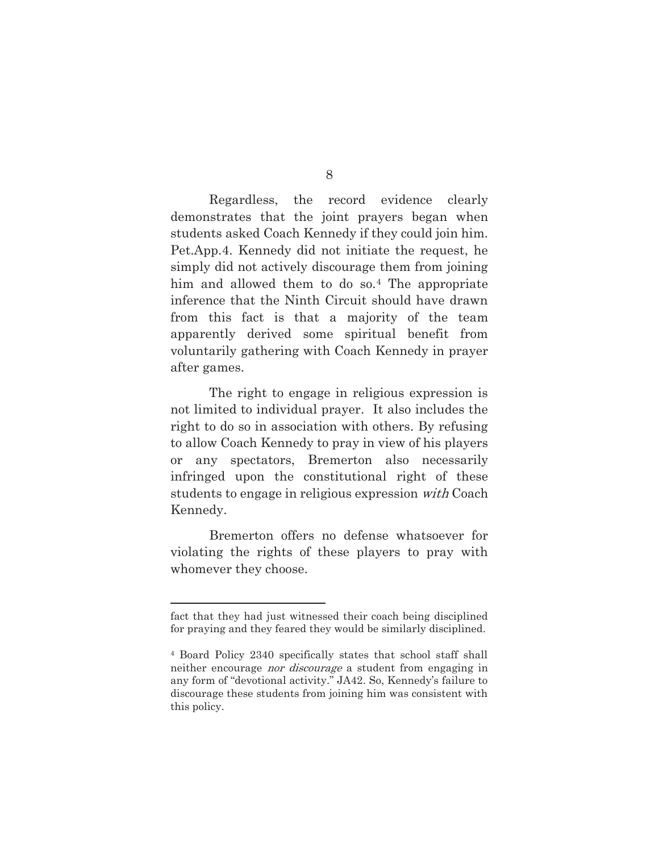8

Regardless, the record evidence clearly demonstrates that the joint prayers began when students asked Coach Kennedy if they could join him. Pet.App.4. Kennedy did not initiate the request, he simply did not actively discourage them from joining him and allowed them to do so.4 The appropriate inference that the Ninth Circuit should have drawn from this fact is that a majority of the team apparently derived some spiritual benefit from voluntarily gathering with Coach Kennedy in prayer after games.

The right to engage in religious expression is not limited to individual prayer. It also includes the right to do so in association with others. By refusing to allow Coach Kennedy to pray in view of his players or any spectators, Bremerton also necessarily infringed upon the constitutional right of these students to engage in religious expression with Coach Kennedy.

Bremerton offers no defense whatsoever for violating the rights of these players to pray with whomever they choose.

l

fact that they had just witnessed their coach being disciplined for praying and they feared they would be similarly disciplined.

<sup>4</sup> Board Policy 2340 specifically states that school staff shall neither encourage nor discourage a student from engaging in any form of "devotional activity." JA42. So, Kennedy's failure to discourage these students from joining him was consistent with this policy.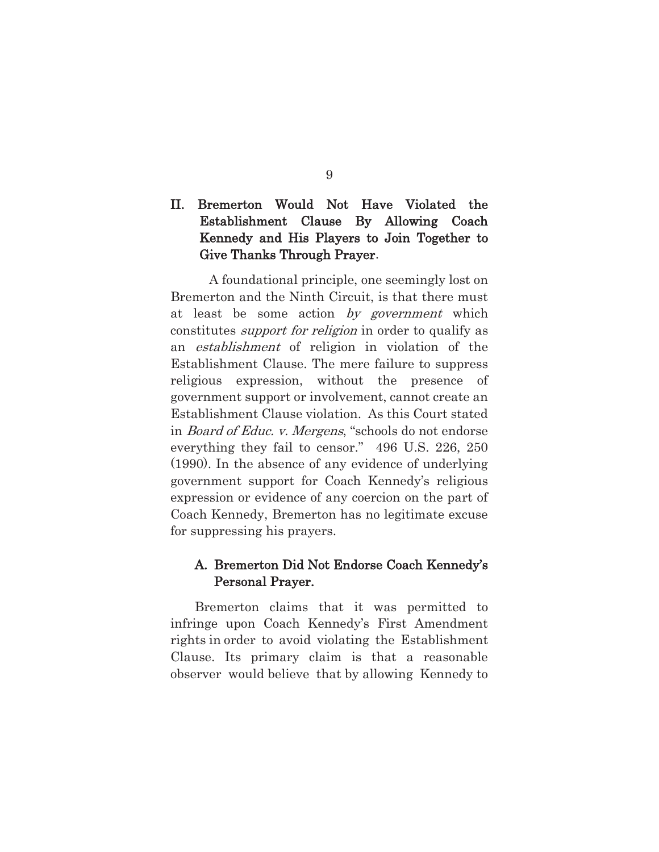# II. Bremerton Would Not Have Violated the Establishment Clause By Allowing Coach Kennedy and His Players to Join Together to Give Thanks Through Prayer.

 A foundational principle, one seemingly lost on Bremerton and the Ninth Circuit, is that there must at least be some action by government which constitutes support for religion in order to qualify as an establishment of religion in violation of the Establishment Clause. The mere failure to suppress religious expression, without the presence of government support or involvement, cannot create an Establishment Clause violation. As this Court stated in Board of Educ. v. Mergens, "schools do not endorse everything they fail to censor." 496 U.S. 226, 250 (1990). In the absence of any evidence of underlying government support for Coach Kennedy's religious expression or evidence of any coercion on the part of Coach Kennedy, Bremerton has no legitimate excuse for suppressing his prayers.

## A. Bremerton Did Not Endorse Coach Kennedy's Personal Prayer.

Bremerton claims that it was permitted to infringe upon Coach Kennedy's First Amendment rights in order to avoid violating the Establishment Clause. Its primary claim is that a reasonable observer would believe that by allowing Kennedy to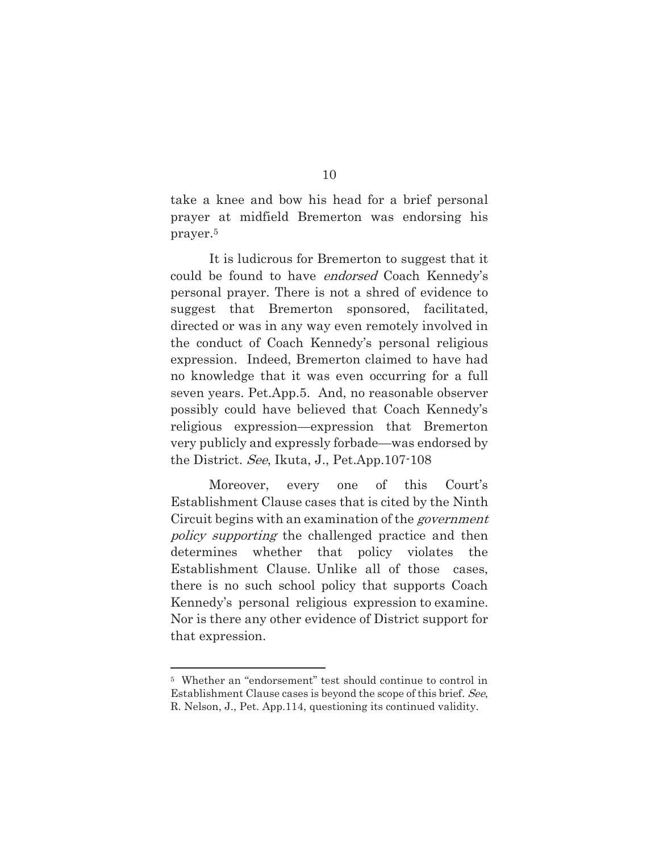take a knee and bow his head for a brief personal prayer at midfield Bremerton was endorsing his prayer.5

 It is ludicrous for Bremerton to suggest that it could be found to have endorsed Coach Kennedy's personal prayer. There is not a shred of evidence to suggest that Bremerton sponsored, facilitated, directed or was in any way even remotely involved in the conduct of Coach Kennedy's personal religious expression. Indeed, Bremerton claimed to have had no knowledge that it was even occurring for a full seven years. Pet.App.5. And, no reasonable observer possibly could have believed that Coach Kennedy's religious expression—expression that Bremerton very publicly and expressly forbade—was endorsed by the District. See, Ikuta, J., Pet.App.107-108

 Moreover, every one of this Court's Establishment Clause cases that is cited by the Ninth Circuit begins with an examination of the government policy supporting the challenged practice and then determines whether that policy violates the Establishment Clause. Unlike all of those cases, there is no such school policy that supports Coach Kennedy's personal religious expression to examine. Nor is there any other evidence of District support for that expression.

l

<sup>5</sup> Whether an "endorsement" test should continue to control in Establishment Clause cases is beyond the scope of this brief. See, R. Nelson, J., Pet. App.114, questioning its continued validity.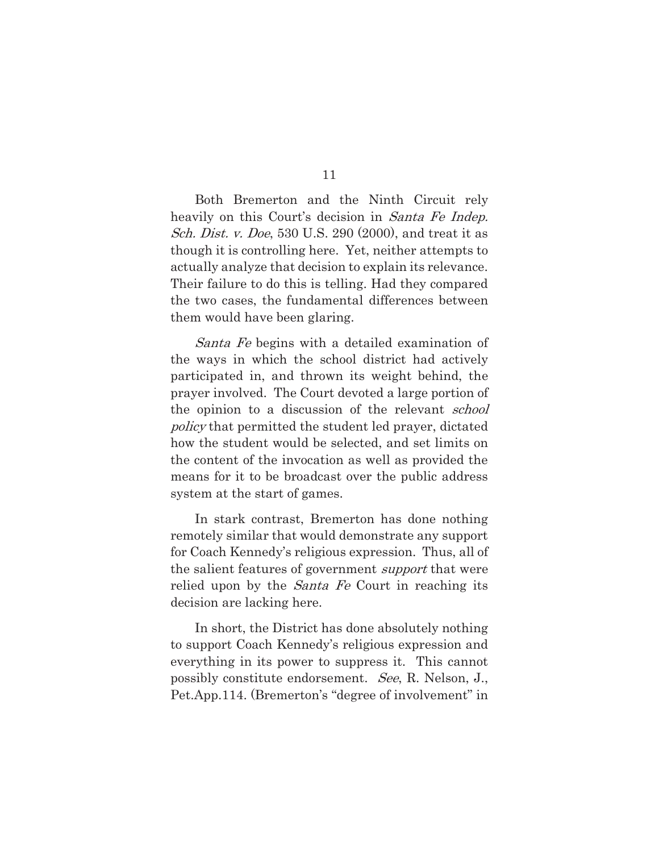Both Bremerton and the Ninth Circuit rely heavily on this Court's decision in *Santa Fe Indep.* Sch. Dist. v. Doe, 530 U.S. 290 (2000), and treat it as though it is controlling here. Yet, neither attempts to actually analyze that decision to explain its relevance. Their failure to do this is telling. Had they compared the two cases, the fundamental differences between them would have been glaring.

Santa Fe begins with a detailed examination of the ways in which the school district had actively participated in, and thrown its weight behind, the prayer involved. The Court devoted a large portion of the opinion to a discussion of the relevant *school* policy that permitted the student led prayer, dictated how the student would be selected, and set limits on the content of the invocation as well as provided the means for it to be broadcast over the public address system at the start of games.

In stark contrast, Bremerton has done nothing remotely similar that would demonstrate any support for Coach Kennedy's religious expression. Thus, all of the salient features of government support that were relied upon by the *Santa Fe* Court in reaching its decision are lacking here.

In short, the District has done absolutely nothing to support Coach Kennedy's religious expression and everything in its power to suppress it. This cannot possibly constitute endorsement. See, R. Nelson, J., Pet.App.114. (Bremerton's "degree of involvement" in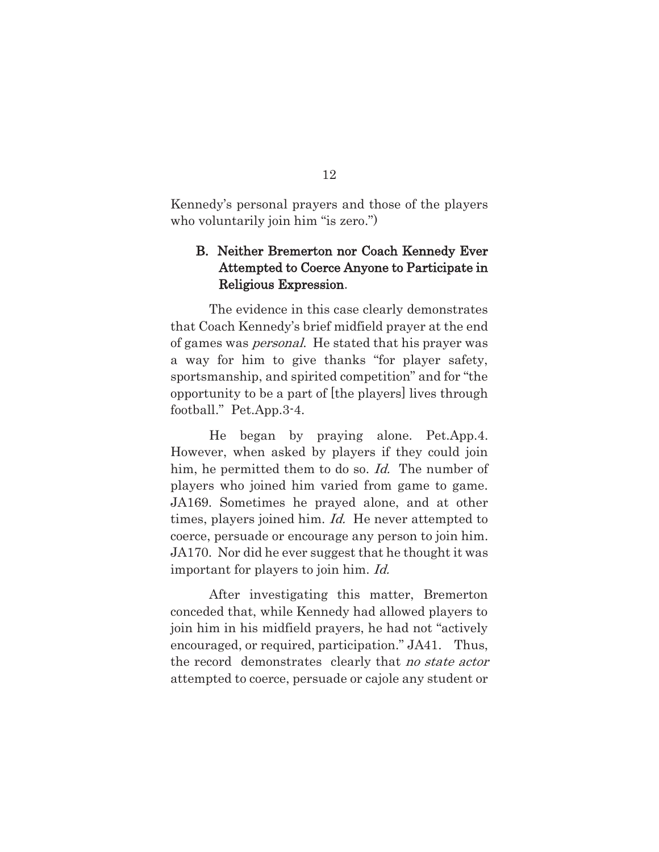Kennedy's personal prayers and those of the players who voluntarily join him "is zero.")

## B. Neither Bremerton nor Coach Kennedy Ever Attempted to Coerce Anyone to Participate in Religious Expression.

The evidence in this case clearly demonstrates that Coach Kennedy's brief midfield prayer at the end of games was personal. He stated that his prayer was a way for him to give thanks "for player safety, sportsmanship, and spirited competition" and for "the opportunity to be a part of [the players] lives through football." Pet.App.3-4.

He began by praying alone. Pet.App.4. However, when asked by players if they could join him, he permitted them to do so. Id. The number of players who joined him varied from game to game. JA169. Sometimes he prayed alone, and at other times, players joined him. *Id.* He never attempted to coerce, persuade or encourage any person to join him. JA170. Nor did he ever suggest that he thought it was important for players to join him. Id.

 After investigating this matter, Bremerton conceded that, while Kennedy had allowed players to join him in his midfield prayers, he had not "actively encouraged, or required, participation." JA41. Thus, the record demonstrates clearly that no state actor attempted to coerce, persuade or cajole any student or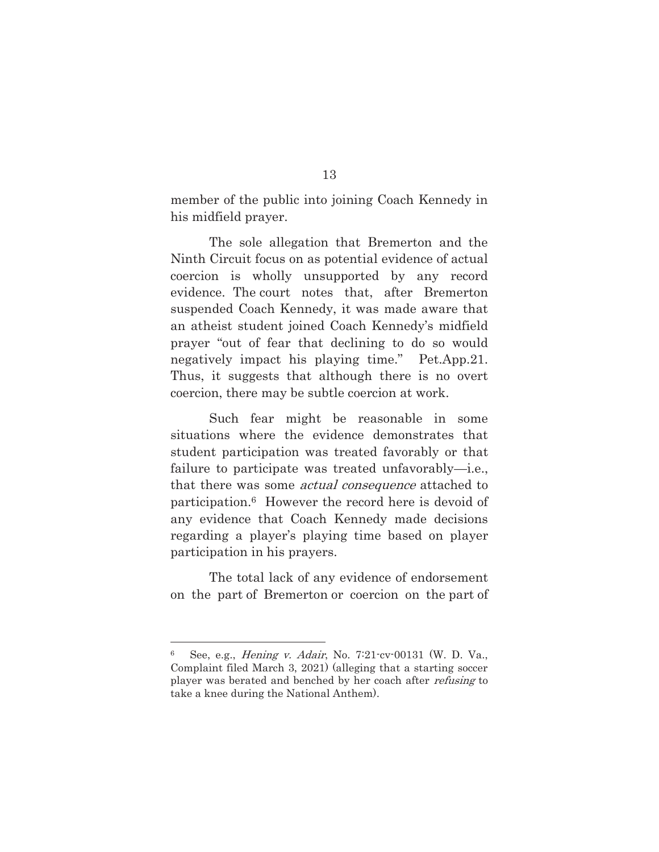member of the public into joining Coach Kennedy in his midfield prayer.

The sole allegation that Bremerton and the Ninth Circuit focus on as potential evidence of actual coercion is wholly unsupported by any record evidence. The court notes that, after Bremerton suspended Coach Kennedy, it was made aware that an atheist student joined Coach Kennedy's midfield prayer "out of fear that declining to do so would negatively impact his playing time." Pet.App.21. Thus, it suggests that although there is no overt coercion, there may be subtle coercion at work.

Such fear might be reasonable in some situations where the evidence demonstrates that student participation was treated favorably or that failure to participate was treated unfavorably—i.e., that there was some actual consequence attached to participation.6 However the record here is devoid of any evidence that Coach Kennedy made decisions regarding a player's playing time based on player participation in his prayers.

The total lack of any evidence of endorsement on the part of Bremerton or coercion on the part of

l

<sup>6</sup> See, e.g., Hening v. Adair, No. 7:21-cv-00131 (W. D. Va., Complaint filed March 3, 2021) (alleging that a starting soccer player was berated and benched by her coach after refusing to take a knee during the National Anthem).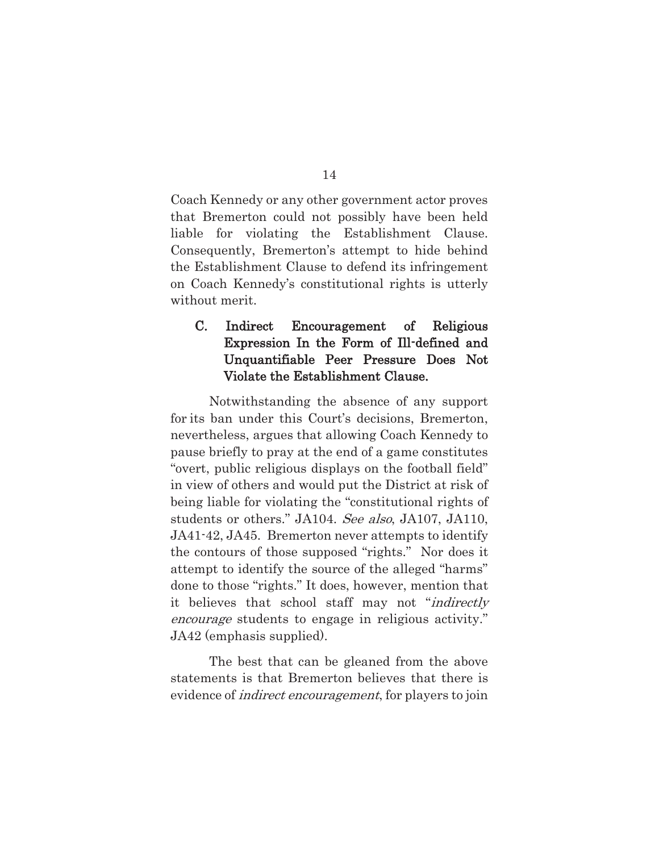Coach Kennedy or any other government actor proves that Bremerton could not possibly have been held liable for violating the Establishment Clause. Consequently, Bremerton's attempt to hide behind the Establishment Clause to defend its infringement on Coach Kennedy's constitutional rights is utterly without merit.

## C. Indirect Encouragement of Religious Expression In the Form of Ill-defined and Unquantifiable Peer Pressure Does Not Violate the Establishment Clause.

 Notwithstanding the absence of any support for its ban under this Court's decisions, Bremerton, nevertheless, argues that allowing Coach Kennedy to pause briefly to pray at the end of a game constitutes "overt, public religious displays on the football field" in view of others and would put the District at risk of being liable for violating the "constitutional rights of students or others." JA104. See also, JA107, JA110, JA41-42, JA45. Bremerton never attempts to identify the contours of those supposed "rights." Nor does it attempt to identify the source of the alleged "harms" done to those "rights." It does, however, mention that it believes that school staff may not "indirectly encourage students to engage in religious activity." JA42 (emphasis supplied).

The best that can be gleaned from the above statements is that Bremerton believes that there is evidence of *indirect encouragement*, for players to join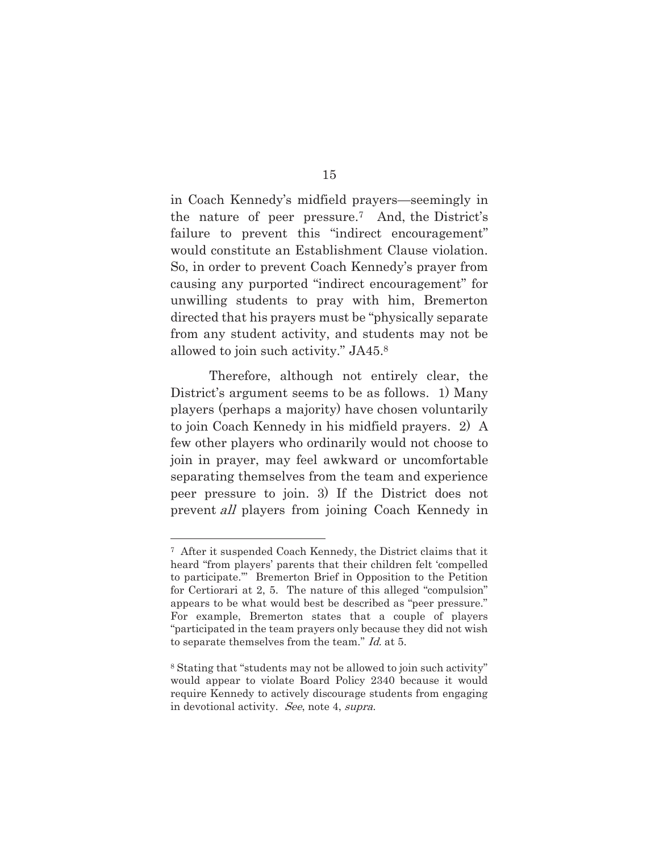in Coach Kennedy's midfield prayers—seemingly in the nature of peer pressure.7 And, the District's failure to prevent this "indirect encouragement" would constitute an Establishment Clause violation. So, in order to prevent Coach Kennedy's prayer from causing any purported "indirect encouragement" for unwilling students to pray with him, Bremerton directed that his prayers must be "physically separate from any student activity, and students may not be allowed to join such activity." JA45.8

Therefore, although not entirely clear, the District's argument seems to be as follows. 1) Many players (perhaps a majority) have chosen voluntarily to join Coach Kennedy in his midfield prayers. 2) A few other players who ordinarily would not choose to join in prayer, may feel awkward or uncomfortable separating themselves from the team and experience peer pressure to join. 3) If the District does not prevent all players from joining Coach Kennedy in

l

<sup>7</sup> After it suspended Coach Kennedy, the District claims that it heard "from players' parents that their children felt 'compelled to participate.'" Bremerton Brief in Opposition to the Petition for Certiorari at 2, 5. The nature of this alleged "compulsion" appears to be what would best be described as "peer pressure." For example, Bremerton states that a couple of players "participated in the team prayers only because they did not wish to separate themselves from the team." Id. at 5.

<sup>8</sup> Stating that "students may not be allowed to join such activity" would appear to violate Board Policy 2340 because it would require Kennedy to actively discourage students from engaging in devotional activity. See, note 4, supra.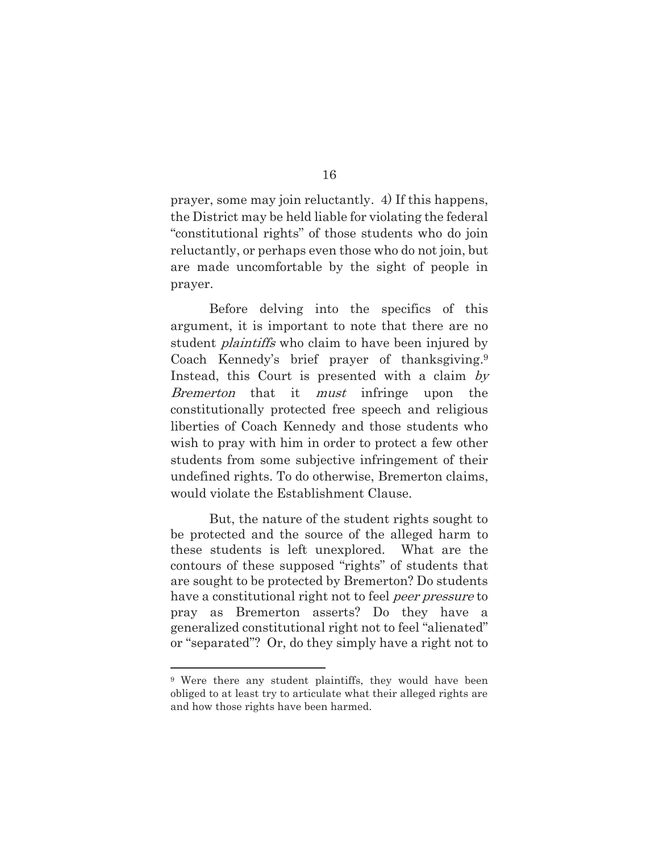prayer, some may join reluctantly. 4) If this happens, the District may be held liable for violating the federal "constitutional rights" of those students who do join reluctantly, or perhaps even those who do not join, but are made uncomfortable by the sight of people in prayer.

Before delving into the specifics of this argument, it is important to note that there are no student *plaintiffs* who claim to have been injured by Coach Kennedy's brief prayer of thanksgiving.9 Instead, this Court is presented with a claim by Bremerton that it *must* infringe upon the constitutionally protected free speech and religious liberties of Coach Kennedy and those students who wish to pray with him in order to protect a few other students from some subjective infringement of their undefined rights. To do otherwise, Bremerton claims, would violate the Establishment Clause.

But, the nature of the student rights sought to be protected and the source of the alleged harm to these students is left unexplored. What are the contours of these supposed "rights" of students that are sought to be protected by Bremerton? Do students have a constitutional right not to feel *peer pressure* to pray as Bremerton asserts? Do they have a generalized constitutional right not to feel "alienated" or "separated"? Or, do they simply have a right not to

l

<sup>&</sup>lt;sup>9</sup> Were there any student plaintiffs, they would have been obliged to at least try to articulate what their alleged rights are and how those rights have been harmed.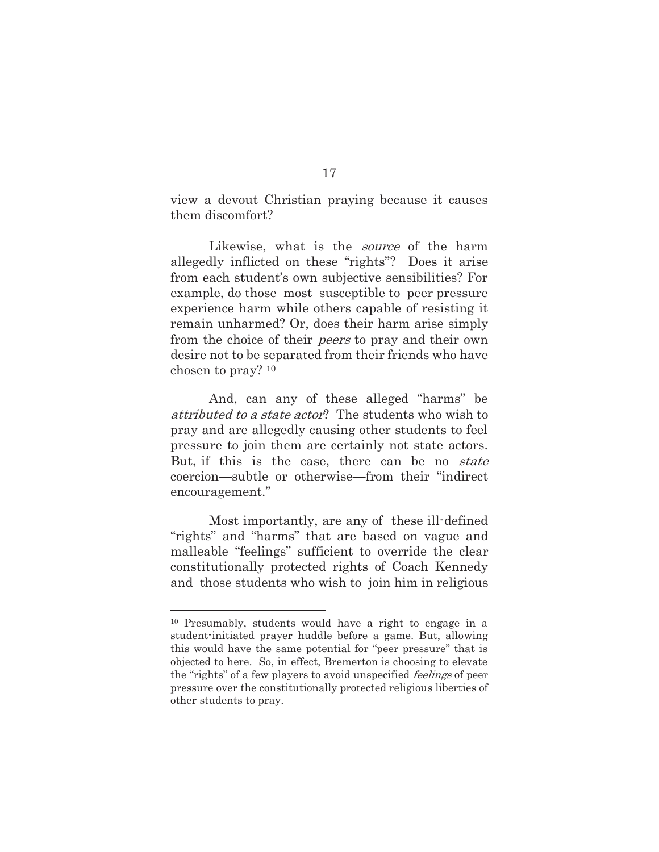view a devout Christian praying because it causes them discomfort?

Likewise, what is the *source* of the harm allegedly inflicted on these "rights"? Does it arise from each student's own subjective sensibilities? For example, do those most susceptible to peer pressure experience harm while others capable of resisting it remain unharmed? Or, does their harm arise simply from the choice of their peers to pray and their own desire not to be separated from their friends who have chosen to pray? 10

 And, can any of these alleged "harms" be attributed to a state actor? The students who wish to pray and are allegedly causing other students to feel pressure to join them are certainly not state actors. But, if this is the case, there can be no *state* coercion—subtle or otherwise—from their "indirect encouragement."

Most importantly, are any of these ill-defined "rights" and "harms" that are based on vague and malleable "feelings" sufficient to override the clear constitutionally protected rights of Coach Kennedy and those students who wish to join him in religious

l

<sup>10</sup> Presumably, students would have a right to engage in a student-initiated prayer huddle before a game. But, allowing this would have the same potential for "peer pressure" that is objected to here. So, in effect, Bremerton is choosing to elevate the "rights" of a few players to avoid unspecified *feelings* of peer pressure over the constitutionally protected religious liberties of other students to pray.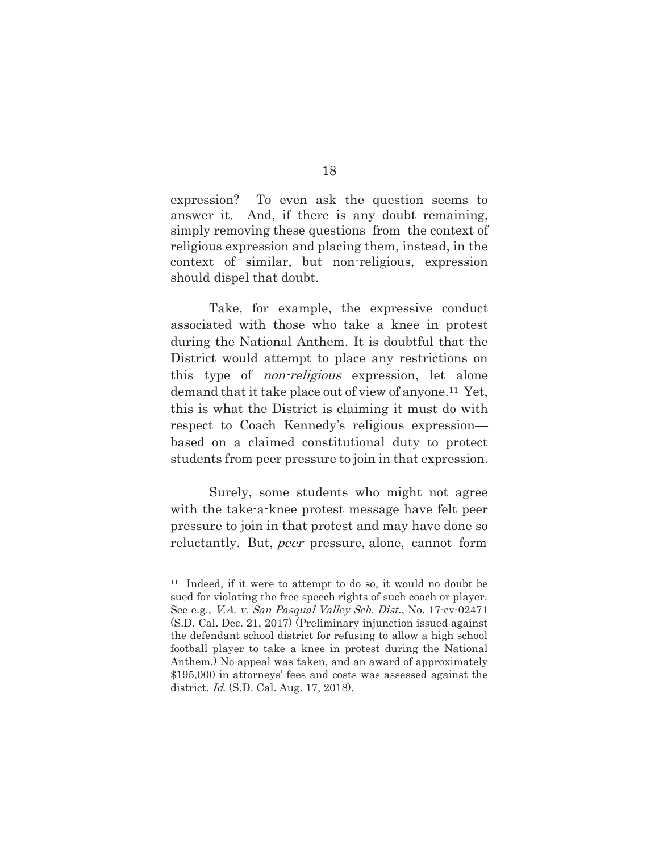expression? To even ask the question seems to answer it. And, if there is any doubt remaining, simply removing these questions from the context of religious expression and placing them, instead, in the context of similar, but non-religious, expression should dispel that doubt.

 Take, for example, the expressive conduct associated with those who take a knee in protest during the National Anthem. It is doubtful that the District would attempt to place any restrictions on this type of *non-religious* expression, let alone demand that it take place out of view of anyone.11 Yet, this is what the District is claiming it must do with respect to Coach Kennedy's religious expression based on a claimed constitutional duty to protect students from peer pressure to join in that expression.

 Surely, some students who might not agree with the take-a-knee protest message have felt peer pressure to join in that protest and may have done so reluctantly. But, *peer* pressure, alone, cannot form

l

<sup>11</sup> Indeed, if it were to attempt to do so, it would no doubt be sued for violating the free speech rights of such coach or player. See e.g., *V.A. v. San Pasqual Valley Sch. Dist.*, No. 17<sup>-</sup>cv-02471 (S.D. Cal. Dec. 21, 2017) (Preliminary injunction issued against the defendant school district for refusing to allow a high school football player to take a knee in protest during the National Anthem.) No appeal was taken, and an award of approximately \$195,000 in attorneys' fees and costs was assessed against the district. Id. (S.D. Cal. Aug. 17, 2018).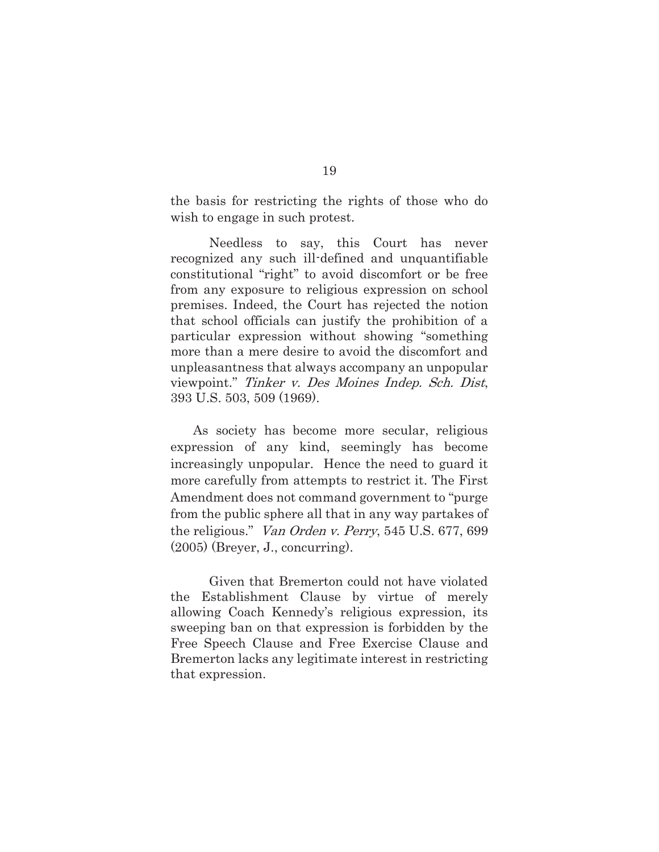the basis for restricting the rights of those who do wish to engage in such protest.

Needless to say, this Court has never recognized any such ill-defined and unquantifiable constitutional "right" to avoid discomfort or be free from any exposure to religious expression on school premises. Indeed, the Court has rejected the notion that school officials can justify the prohibition of a particular expression without showing "something more than a mere desire to avoid the discomfort and unpleasantness that always accompany an unpopular viewpoint." Tinker v. Des Moines Indep. Sch. Dist, 393 U.S. 503, 509 (1969).

As society has become more secular, religious expression of any kind, seemingly has become increasingly unpopular. Hence the need to guard it more carefully from attempts to restrict it. The First Amendment does not command government to "purge from the public sphere all that in any way partakes of the religious." Van Orden v. Perry, 545 U.S. 677, 699 (2005) (Breyer, J., concurring).

Given that Bremerton could not have violated the Establishment Clause by virtue of merely allowing Coach Kennedy's religious expression, its sweeping ban on that expression is forbidden by the Free Speech Clause and Free Exercise Clause and Bremerton lacks any legitimate interest in restricting that expression.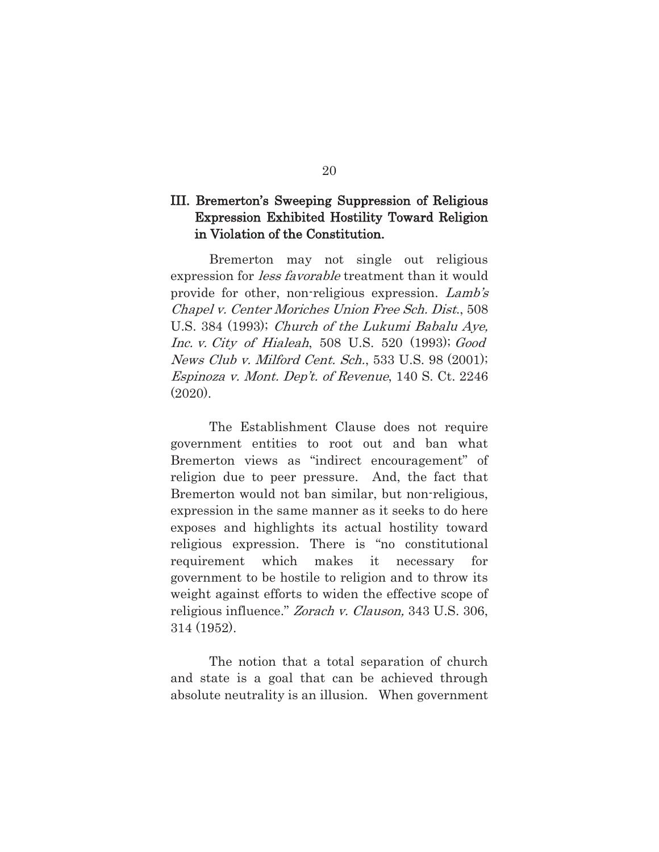### III. Bremerton's Sweeping Suppression of Religious Expression Exhibited Hostility Toward Religion in Violation of the Constitution.

 Bremerton may not single out religious expression for *less favorable* treatment than it would provide for other, non-religious expression. Lamb's Chapel v. Center Moriches Union Free Sch. Dist., 508 U.S. 384 (1993); Church of the Lukumi Babalu Aye, Inc. v. City of Hialeah, 508 U.S. 520 (1993); Good News Club v. Milford Cent. Sch., 533 U.S. 98 (2001); Espinoza v. Mont. Dep't. of Revenue, 140 S. Ct. 2246 (2020).

 The Establishment Clause does not require government entities to root out and ban what Bremerton views as "indirect encouragement" of religion due to peer pressure. And, the fact that Bremerton would not ban similar, but non-religious, expression in the same manner as it seeks to do here exposes and highlights its actual hostility toward religious expression. There is "no constitutional requirement which makes it necessary for government to be hostile to religion and to throw its weight against efforts to widen the effective scope of religious influence." Zorach v. Clauson, 343 U.S. 306, 314 (1952).

 The notion that a total separation of church and state is a goal that can be achieved through absolute neutrality is an illusion. When government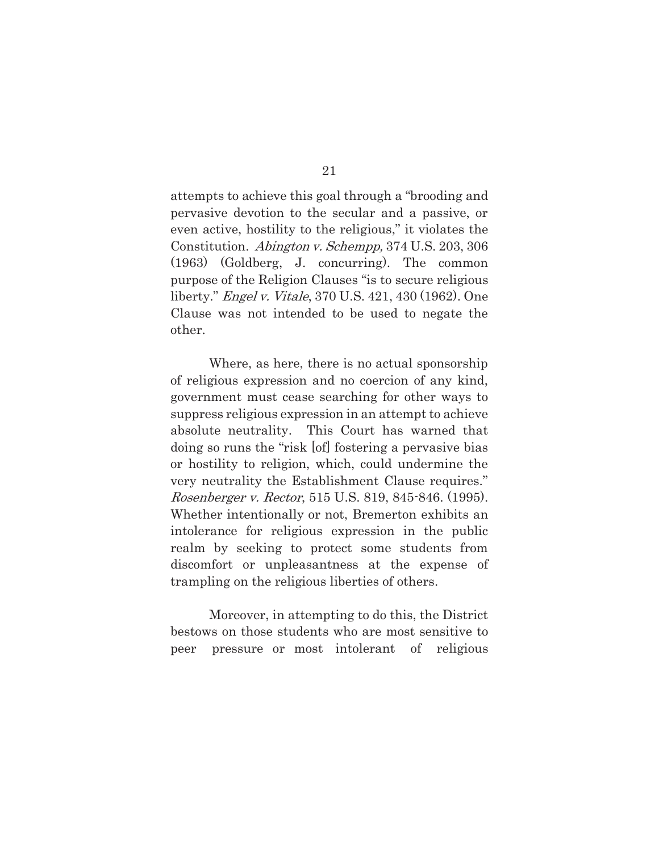attempts to achieve this goal through a "brooding and pervasive devotion to the secular and a passive, or even active, hostility to the religious," it violates the Constitution. Abington v. Schempp, 374 U.S. 203, 306 (1963) (Goldberg, J. concurring). The common purpose of the Religion Clauses "is to secure religious liberty." Engel v. Vitale, 370 U.S. 421, 430 (1962). One Clause was not intended to be used to negate the other.

 Where, as here, there is no actual sponsorship of religious expression and no coercion of any kind, government must cease searching for other ways to suppress religious expression in an attempt to achieve absolute neutrality. This Court has warned that doing so runs the "risk [of] fostering a pervasive bias or hostility to religion, which, could undermine the very neutrality the Establishment Clause requires." Rosenberger v. Rector, 515 U.S. 819, 845-846. (1995). Whether intentionally or not, Bremerton exhibits an intolerance for religious expression in the public realm by seeking to protect some students from discomfort or unpleasantness at the expense of trampling on the religious liberties of others.

 Moreover, in attempting to do this, the District bestows on those students who are most sensitive to peer pressure or most intolerant of religious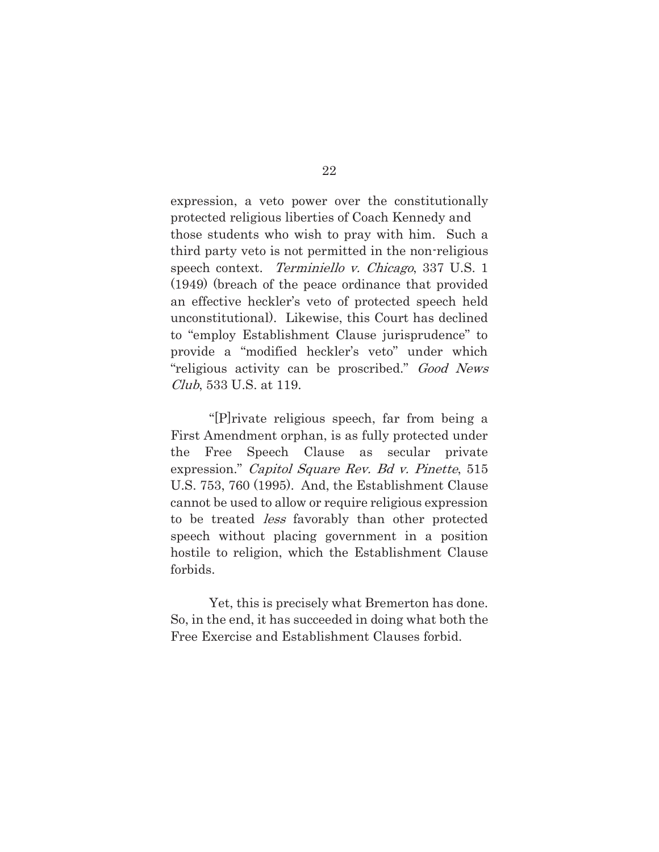expression, a veto power over the constitutionally protected religious liberties of Coach Kennedy and those students who wish to pray with him. Such a third party veto is not permitted in the non-religious speech context. Terminiello v. Chicago, 337 U.S. 1 (1949) (breach of the peace ordinance that provided an effective heckler's veto of protected speech held unconstitutional). Likewise, this Court has declined to "employ Establishment Clause jurisprudence" to provide a "modified heckler's veto" under which "religious activity can be proscribed." Good News Club, 533 U.S. at 119.

 "[P]rivate religious speech, far from being a First Amendment orphan, is as fully protected under the Free Speech Clause as secular private expression." Capitol Square Rev. Bd v. Pinette, 515 U.S. 753, 760 (1995). And, the Establishment Clause cannot be used to allow or require religious expression to be treated less favorably than other protected speech without placing government in a position hostile to religion, which the Establishment Clause forbids.

 Yet, this is precisely what Bremerton has done. So, in the end, it has succeeded in doing what both the Free Exercise and Establishment Clauses forbid.

22